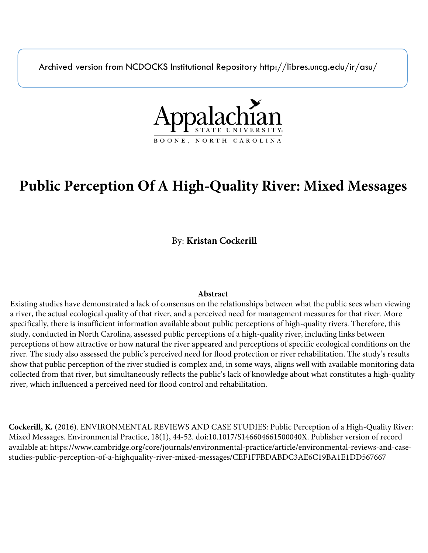Archived version from NCDOCKS Institutional Repository http://libres.uncg.edu/ir/asu/



# **Public Perception Of A High-Quality River: Mixed Messages**

By: **Kristan Cockerill**

## **Abstract**

Existing studies have demonstrated a lack of consensus on the relationships between what the public sees when viewing a river, the actual ecological quality of that river, and a perceived need for management measures for that river. More specifically, there is insufficient information available about public perceptions of high-quality rivers. Therefore, this study, conducted in North Carolina, assessed public perceptions of a high-quality river, including links between perceptions of how attractive or how natural the river appeared and perceptions of specific ecological conditions on the river. The study also assessed the public's perceived need for flood protection or river rehabilitation. The study's results show that public perception of the river studied is complex and, in some ways, aligns well with available monitoring data collected from that river, but simultaneously reflects the public's lack of knowledge about what constitutes a high-quality river, which influenced a perceived need for flood control and rehabilitation.

**Cockerill, K.** (2016). ENVIRONMENTAL REVIEWS AND CASE STUDIES: Public Perception of a High-Quality River: Mixed Messages. Environmental Practice, 18(1), 44-52. doi:10.1017/S146604661500040X. Publisher version of record available at: https://www.cambridge.org/core/journals/environmental-practice/article/environmental-reviews-and-casestudies-public-perception-of-a-highquality-river-mixed-messages/CEF1FFBDABDC3AE6C19BA1E1DD567667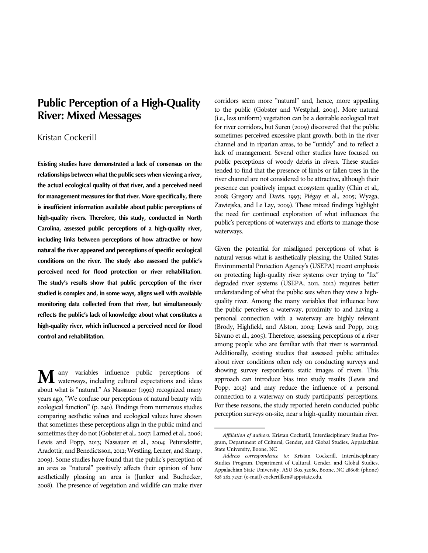# Public Perception of a High-Quality River: Mixed Messages

#### Kristan Cockerill

Existing studies have demonstrated a lack of consensus on the relationships between what the public sees when viewing a river, the actual ecological quality of that river, and a perceived need for management measures for that river. More specifically, there is insufficient information available about public perceptions of high-quality rivers. Therefore, this study, conducted in North Carolina, assessed public perceptions of a high-quality river, including links between perceptions of how attractive or how natural the river appeared and perceptions of specific ecological conditions on the river. The study also assessed the public's perceived need for flood protection or river rehabilitation. The study's results show that public perception of the river studied is complex and, in some ways, aligns well with available monitoring data collected from that river, but simultaneously reflects the public's lack of knowledge about what constitutes a high-quality river, which influenced a perceived need for flood control and rehabilitation.

**M** any variables influence public perceptions of waterways including cultural expectations and ideas waterways, including cultural expectations and ideas about what is "natural." As Nassauer ([1992](#page-9-0)) recognized many years ago, "We confuse our perceptions of natural beauty with ecological function" (p. 240). Findings from numerous studies comparing aesthetic values and ecological values have shown that sometimes these perceptions align in the public mind and sometimes they do not (Gobster et al., [2007](#page-9-0); Larned et al., [2006](#page-9-0); Lewis and Popp, [2013](#page-9-0); Nassauer et al., [2004](#page-9-0); Petursdottir, Aradottir, and Benedictsson, [2012](#page-9-0); Westling, Lerner, and Sharp, [2009](#page-9-0)). Some studies have found that the public's perception of an area as "natural" positively affects their opinion of how aesthetically pleasing an area is (Junker and Buchecker, [2008](#page-9-0)). The presence of vegetation and wildlife can make river

corridors seem more "natural" and, hence, more appealing to the public (Gobster and Westphal, [2004](#page-9-0)). More natural (i.e., less uniform) vegetation can be a desirable ecological trait for river corridors, but Suren ([2009](#page-9-0)) discovered that the public sometimes perceived excessive plant growth, both in the river channel and in riparian areas, to be "untidy" and to reflect a lack of management. Several other studies have focused on public perceptions of woody debris in rivers. These studies tended to find that the presence of limbs or fallen trees in the river channel are not considered to be attractive, although their presence can positively impact ecosystem quality (Chin et al., [2008](#page-8-0); Gregory and Davis, [1993](#page-9-0); Piégay et al., [2005](#page-9-0); Wyzga, Zawiejska, and Le Lay, [2009](#page-9-0)). These mixed findings highlight the need for continued exploration of what influences the public's perceptions of waterways and efforts to manage those waterways.

Given the potential for misaligned perceptions of what is natural versus what is aesthetically pleasing, the United States Environmental Protection Agency's (USEPA) recent emphasis on protecting high-quality river systems over trying to "fix" degraded river systems (USEPA, [2011](#page-9-0), [2012](#page-9-0)) requires better understanding of what the public sees when they view a highquality river. Among the many variables that influence how the public perceives a waterway, proximity to and having a personal connection with a waterway are highly relevant (Brody, Highfield, and Alston, [2004](#page-8-0); Lewis and Popp, [2013](#page-9-0); Silvano et al., [2005](#page-9-0)). Therefore, assessing perceptions of a river among people who are familiar with that river is warranted. Additionally, existing studies that assessed public attitudes about river conditions often rely on conducting surveys and showing survey respondents static images of rivers. This approach can introduce bias into study results (Lewis and Popp, [2013](#page-9-0)) and may reduce the influence of a personal connection to a waterway on study participants' perceptions. For these reasons, the study reported herein conducted public perception surveys on-site, near a high-quality mountain river.

Affiliation of authors: Kristan Cockerill, Interdisciplinary Studies Program, Department of Cultural, Gender, and Global Studies, Appalachian State University, Boone, NC

Address correspondence to: Kristan Cockerill, Interdisciplinary Studies Program, Department of Cultural, Gender, and Global Studies, Appalachian State University, ASU Box 32080, Boone, NC 28608; (phone) 828 262 7252; (e-mail) cockerillkm@appstate.edu.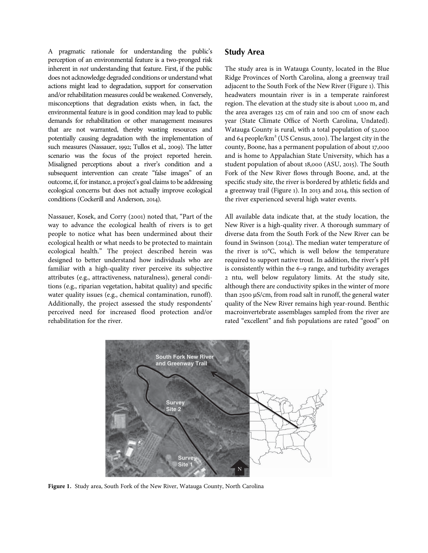<span id="page-2-0"></span>A pragmatic rationale for understanding the public's perception of an environmental feature is a two-pronged risk inherent in not understanding that feature. First, if the public does not acknowledge degraded conditions or understand what actions might lead to degradation, support for conservation and/or rehabilitation measures could be weakened. Conversely, misconceptions that degradation exists when, in fact, the environmental feature is in good condition may lead to public demands for rehabilitation or other management measures that are not warranted, thereby wasting resources and potentially causing degradation with the implementation of such measures (Nassauer, [1992](#page-9-0); Tullos et al., [2009](#page-9-0)). The latter scenario was the focus of the project reported herein. Misaligned perceptions about a river's condition and a subsequent intervention can create "false images" of an outcome, if, for instance, a project's goal claims to be addressing ecological concerns but does not actually improve ecological conditions (Cockerill and Anderson, [2014](#page-8-0)).

Nassauer, Kosek, and Corry ([2001](#page-9-0)) noted that, "Part of the way to advance the ecological health of rivers is to get people to notice what has been undermined about their ecological health or what needs to be protected to maintain ecological health." The project described herein was designed to better understand how individuals who are familiar with a high-quality river perceive its subjective attributes (e.g., attractiveness, naturalness), general conditions (e.g., riparian vegetation, habitat quality) and specific water quality issues (e.g., chemical contamination, runoff). Additionally, the project assessed the study respondents' perceived need for increased flood protection and/or rehabilitation for the river.

#### Study Area

The study area is in Watauga County, located in the Blue Ridge Provinces of North Carolina, along a greenway trail adjacent to the South Fork of the New River (Figure 1). This headwaters mountain river is in a temperate rainforest region. The elevation at the study site is about 1,000 m, and the area averages 125 cm of rain and 100 cm of snow each year (State Climate Office of North Carolina, [Undated](#page-9-0)). Watauga County is rural, with a total population of 52,000 and 64 people/km<sup>2</sup> (US Census, [2010](#page-9-0)). The largest city in the county, Boone, has a permanent population of about 17,000 and is home to Appalachian State University, which has a student population of about 18,000 (ASU, [2015](#page-8-0)). The South Fork of the New River flows through Boone, and, at the specific study site, the river is bordered by athletic fields and a greenway trail (Figure 1). In 2013 and 2014, this section of the river experienced several high water events.

All available data indicate that, at the study location, the New River is a high-quality river. A thorough summary of diverse data from the South Fork of the New River can be found in Swinson ([2014](#page-9-0)). The median water temperature of the river is 10°C, which is well below the temperature required to support native trout. In addition, the river's pH is consistently within the 6–9 range, and turbidity averages 2 ntu, well below regulatory limits. At the study site, although there are conductivity spikes in the winter of more than 2500 µS/cm, from road salt in runoff, the general water quality of the New River remains high year-round. Benthic macroinvertebrate assemblages sampled from the river are rated "excellent" and fish populations are rated "good" on



Figure 1. Study area, South Fork of the New River, Watauga County, North Carolina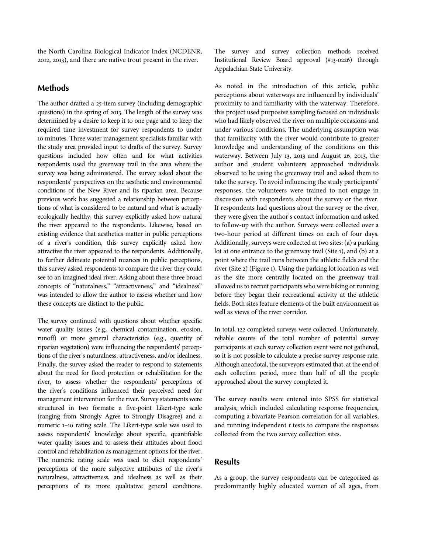the North Carolina Biological Indicator Index (NCDENR, [2012](#page-9-0), [2013](#page-9-0)), and there are native trout present in the river.

#### Methods

The author drafted a 25-item survey (including demographic questions) in the spring of 2013. The length of the survey was determined by a desire to keep it to one page and to keep the required time investment for survey respondents to under 10 minutes. Three water management specialists familiar with the study area provided input to drafts of the survey. Survey questions included how often and for what activities respondents used the greenway trail in the area where the survey was being administered. The survey asked about the respondents' perspectives on the aesthetic and environmental conditions of the New River and its riparian area. Because previous work has suggested a relationship between perceptions of what is considered to be natural and what is actually ecologically healthy, this survey explicitly asked how natural the river appeared to the respondents. Likewise, based on existing evidence that aesthetics matter in public perceptions of a river's condition, this survey explicitly asked how attractive the river appeared to the respondents. Additionally, to further delineate potential nuances in public perceptions, this survey asked respondents to compare the river they could see to an imagined ideal river. Asking about these three broad concepts of "naturalness," "attractiveness," and "idealness" was intended to allow the author to assess whether and how these concepts are distinct to the public.

The survey continued with questions about whether specific water quality issues (e.g., chemical contamination, erosion, runoff) or more general characteristics (e.g., quantity of riparian vegetation) were influencing the respondents' perceptions of the river's naturalness, attractiveness, and/or idealness. Finally, the survey asked the reader to respond to statements about the need for flood protection or rehabilitation for the river, to assess whether the respondents' perceptions of the river's conditions influenced their perceived need for management intervention for the river. Survey statements were structured in two formats: a five-point Likert-type scale (ranging from Strongly Agree to Strongly Disagree) and a numeric 1–10 rating scale. The Likert-type scale was used to assess respondents' knowledge about specific, quantifiable water quality issues and to assess their attitudes about flood control and rehabilitation as management options for the river. The numeric rating scale was used to elicit respondents' perceptions of the more subjective attributes of the river's naturalness, attractiveness, and idealness as well as their perceptions of its more qualitative general conditions.

The survey and survey collection methods received Institutional Review Board approval (#13-0226) through Appalachian State University.

As noted in the introduction of this article, public perceptions about waterways are influenced by individuals' proximity to and familiarity with the waterway. Therefore, this project used purposive sampling focused on individuals who had likely observed the river on multiple occasions and under various conditions. The underlying assumption was that familiarity with the river would contribute to greater knowledge and understanding of the conditions on this waterway. Between July 13, 2013 and August 26, 2013, the author and student volunteers approached individuals observed to be using the greenway trail and asked them to take the survey. To avoid influencing the study participants' responses, the volunteers were trained to not engage in discussion with respondents about the survey or the river. If respondents had questions about the survey or the river, they were given the author's contact information and asked to follow-up with the author. Surveys were collected over a two-hour period at different times on each of four days. Additionally, surveys were collected at two sites: (a) a parking lot at one entrance to the greenway trail (Site 1), and (b) at a point where the trail runs between the athletic fields and the river (Site 2) [\(Figure](#page-2-0) 1). Using the parking lot location as well as the site more centrally located on the greenway trail allowed us to recruit participants who were biking or running before they began their recreational activity at the athletic fields. Both sites feature elements of the built environment as well as views of the river corridor.

In total, 122 completed surveys were collected. Unfortunately, reliable counts of the total number of potential survey participants at each survey collection event were not gathered, so it is not possible to calculate a precise survey response rate. Although anecdotal, the surveyors estimated that, at the end of each collection period, more than half of all the people approached about the survey completed it.

The survey results were entered into SPSS for statistical analysis, which included calculating response frequencies, computing a bivariate Pearson correlation for all variables, and running independent  $t$  tests to compare the responses collected from the two survey collection sites.

#### Results

As a group, the survey respondents can be categorized as predominantly highly educated women of all ages, from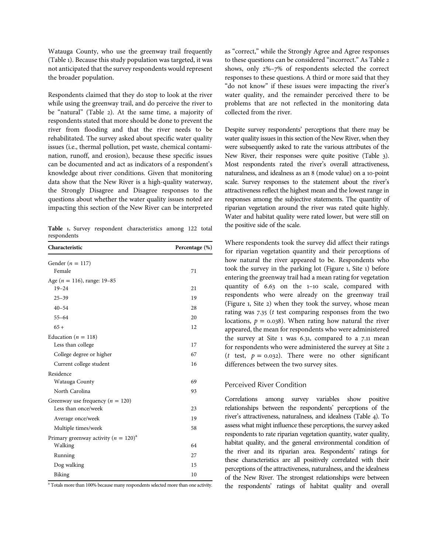Watauga County, who use the greenway trail frequently (Table 1). Because this study population was targeted, it was not anticipated that the survey respondents would represent the broader population.

Respondents claimed that they do stop to look at the river while using the greenway trail, and do perceive the river to be "natural" ([Table](#page-5-0) 2). At the same time, a majority of respondents stated that more should be done to prevent the river from flooding and that the river needs to be rehabilitated. The survey asked about specific water quality issues (i.e., thermal pollution, pet waste, chemical contamination, runoff, and erosion), because these specific issues can be documented and act as indicators of a respondent's knowledge about river conditions. Given that monitoring data show that the New River is a high-quality waterway, the Strongly Disagree and Disagree responses to the questions about whether the water quality issues noted are impacting this section of the New River can be interpreted

Table 1. Survey respondent characteristics among 122 total respondents

| Characteristic                            | Percentage (%) |
|-------------------------------------------|----------------|
| Gender ( $n = 117$ )                      |                |
| Female                                    | 71             |
| Age ( $n = 116$ ), range: 19–85           |                |
| $19 - 24$                                 | 21             |
| $25 - 39$                                 | 19             |
| $40 - 54$                                 | 28             |
| $55 - 64$                                 | 20             |
| $65+$                                     | 12             |
| Education ( $n = 118$ )                   |                |
| Less than college                         | 17             |
| College degree or higher                  | 67             |
| Current college student                   | 16             |
| Residence                                 |                |
| Watauga County                            | 69             |
| North Carolina                            | 93             |
| Greenway use frequency ( $n = 120$ )      |                |
| Less than once/week                       | 23             |
| Average once/week                         | 19             |
| Multiple times/week                       | 58             |
| Primary greenway activity $(n = 120)^{a}$ |                |
| Walking                                   | 64             |
| Running                                   | 27             |
| Dog walking                               | 15             |
| Biking                                    | 10             |

<sup>a</sup> Totals more than 100% because many respondents selected more than one activity.

as "correct," while the Strongly Agree and Agree responses to these questions can be considered "incorrect." As [Table](#page-5-0) 2 shows, only 2%–7% of respondents selected the correct responses to these questions. A third or more said that they "do not know" if these issues were impacting the river's water quality, and the remainder perceived there to be problems that are not reflected in the monitoring data collected from the river.

Despite survey respondents' perceptions that there may be water quality issues in this section of the New River, when they were subsequently asked to rate the various attributes of the New River, their responses were quite positive [\(Table](#page-5-0) 3). Most respondents rated the river's overall attractiveness, naturalness, and idealness as an 8 (mode value) on a 10-point scale. Survey responses to the statement about the river's attractiveness reflect the highest mean and the lowest range in responses among the subjective statements. The quantity of riparian vegetation around the river was rated quite highly. Water and habitat quality were rated lower, but were still on the positive side of the scale.

Where respondents took the survey did affect their ratings for riparian vegetation quantity and their perceptions of how natural the river appeared to be. Respondents who took the survey in the parking lot ([Figure](#page-2-0) 1, Site 1) before entering the greenway trail had a mean rating for vegetation quantity of 6.63 on the 1–10 scale, compared with respondents who were already on the greenway trail [\(Figure](#page-2-0) 1, Site 2) when they took the survey, whose mean rating was 7.35 (t test comparing responses from the two locations,  $p = 0.038$ ). When rating how natural the river appeared, the mean for respondents who were administered the survey at Site 1 was 6.31, compared to a 7.11 mean for respondents who were administered the survey at Site 2 (*t* test,  $p = 0.032$ ). There were no other significant differences between the two survey sites.

#### Perceived River Condition

Correlations among survey variables show positive relationships between the respondents' perceptions of the river's attractiveness, naturalness, and idealness [\(Table](#page-6-0) 4). To assess what might influence these perceptions, the survey asked respondents to rate riparian vegetation quantity, water quality, habitat quality, and the general environmental condition of the river and its riparian area. Respondents' ratings for these characteristics are all positively correlated with their perceptions of the attractiveness, naturalness, and the idealness of the New River. The strongest relationships were between the respondents' ratings of habitat quality and overall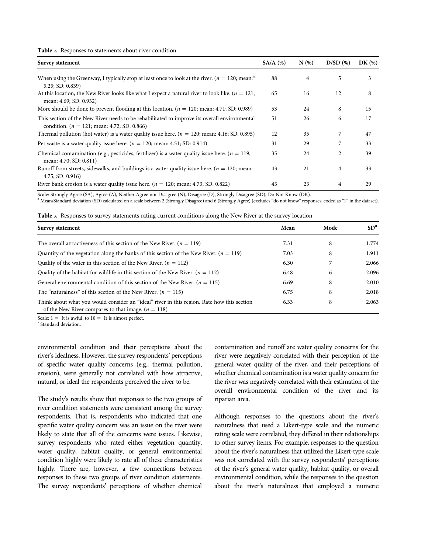<span id="page-5-0"></span>Table 2. Responses to statements about river condition

| <b>Survey statement</b>                                                                                                                       | $SA/A$ (%) | N(%)           | D/SD(%)        | DK $(%)$ |
|-----------------------------------------------------------------------------------------------------------------------------------------------|------------|----------------|----------------|----------|
| When using the Greenway, I typically stop at least once to look at the river. ( $n = 120$ ; mean: <sup>a</sup><br>$5.25$ ; SD: 0.839)         | 88         | $\overline{4}$ | 5              | 3        |
| At this location, the New River looks like what I expect a natural river to look like. $(n = 121)$ ;<br>mean: 4.69; SD: 0.932)                | 65         | 16             | 12             | 8        |
| More should be done to prevent flooding at this location. $(n = 120;$ mean: 4.71; SD: 0.989)                                                  | 53         | 24             | 8              | 15       |
| This section of the New River needs to be rehabilitated to improve its overall environmental<br>condition. $(n = 121;$ mean: 4.72; SD: 0.866) | 51         | 26             | 6              | 17       |
| Thermal pollution (hot water) is a water quality issue here. $(n = 120;$ mean: 4.16; SD: 0.895)                                               | 12         | 35             | 7              | 47       |
| Pet waste is a water quality issue here. $(n = 120;$ mean: 4.51; SD: 0.914)                                                                   | 31         | 29             |                | 33       |
| Chemical contamination (e.g., pesticides, fertilizer) is a water quality issue here. ( $n = 119$ ;<br>mean: 4.70; SD: 0.811)                  | 35         | 24             | 2              | 39       |
| Runoff from streets, sidewalks, and buildings is a water quality issue here. ( $n = 120$ ; mean:<br>$4.75$ ; SD: 0.916)                       | 43         | 21             | $\overline{4}$ | 33       |
| River bank erosion is a water quality issue here. $(n = 120; \text{ mean}; 4.73; SD; 0.822)$                                                  | 43         | 23             | $\overline{4}$ | 29       |

Scale: Strongly Agree (SA), Agree (A), Neither Agree nor Disagree (N), Disagree (D), Strongly Disagree (SD), Do Not Know (DK).

<sup>a</sup> Mean/Standard deviation (SD) calculated on a scale between 2 (Strongly Disagree) and 6 (Strongly Agree) (excludes "do not know" responses, coded as "1" in the dataset).

Table 3. Responses to survey statements rating current conditions along the New River at the survey location

| <b>Survey statement</b>                                                                    | Mean | Mode | SD <sup>a</sup> |
|--------------------------------------------------------------------------------------------|------|------|-----------------|
| The overall attractiveness of this section of the New River. $(n = 119)$                   | 7.31 | 8    | 1.774           |
| Quantity of the vegetation along the banks of this section of the New River. $(n = 119)$   | 7.03 | 8    | 1.911           |
| Quality of the water in this section of the New River. ( $n = 112$ )                       | 6.30 | 7    | 2.066           |
| Quality of the habitat for wildlife in this section of the New River. $(n = 112)$          | 6.48 | 6    | 2.096           |
| General environmental condition of this section of the New River. $(n = 115)$              | 6.69 | 8    | 2.010           |
| The "naturalness" of this section of the New River. $(n = 115)$                            | 6.75 | 8    | 2.018           |
| Think about what you would consider an "ideal" river in this region. Rate how this section | 6.33 | 8    | 2.063           |
| of the New River compares to that image. $(n = 118)$                                       |      |      |                 |

Scale:  $1 =$  It is awful, to  $10 =$  It is almost perfect.<br><sup>a</sup> Standard deviation.

environmental condition and their perceptions about the river's idealness. However, the survey respondents' perceptions of specific water quality concerns (e.g., thermal pollution, erosion), were generally not correlated with how attractive, natural, or ideal the respondents perceived the river to be.

The study's results show that responses to the two groups of river condition statements were consistent among the survey respondents. That is, respondents who indicated that one specific water quality concern was an issue on the river were likely to state that all of the concerns were issues. Likewise, survey respondents who rated either vegetation quantity, water quality, habitat quality, or general environmental condition highly were likely to rate all of these characteristics highly. There are, however, a few connections between responses to these two groups of river condition statements. The survey respondents' perceptions of whether chemical

contamination and runoff are water quality concerns for the river were negatively correlated with their perception of the general water quality of the river, and their perceptions of whether chemical contamination is a water quality concern for the river was negatively correlated with their estimation of the overall environmental condition of the river and its riparian area.

Although responses to the questions about the river's naturalness that used a Likert-type scale and the numeric rating scale were correlated, they differed in their relationships to other survey items. For example, responses to the question about the river's naturalness that utilized the Likert-type scale was not correlated with the survey respondents' perceptions of the river's general water quality, habitat quality, or overall environmental condition, while the responses to the question about the river's naturalness that employed a numeric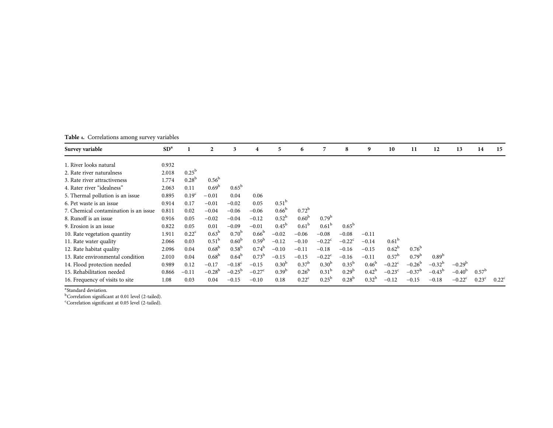| Survey variable                       | SD <sup>a</sup> |                   | 2                 | 3                 | 4                    | 5                 | 6              | 7                    | 8                    | 9                 | 10                   | 11              | 12                | 13                   | 14             | 15             |
|---------------------------------------|-----------------|-------------------|-------------------|-------------------|----------------------|-------------------|----------------|----------------------|----------------------|-------------------|----------------------|-----------------|-------------------|----------------------|----------------|----------------|
| 1. River looks natural                | 0.932           |                   |                   |                   |                      |                   |                |                      |                      |                   |                      |                 |                   |                      |                |                |
| 2. Rate river naturalness             | 2.018           | $0.25^{b}$        |                   |                   |                      |                   |                |                      |                      |                   |                      |                 |                   |                      |                |                |
| 3. Rate river attractiveness          | 1.774           | $0.28^{b}$        | 0.56 <sup>b</sup> |                   |                      |                   |                |                      |                      |                   |                      |                 |                   |                      |                |                |
| 4. Rater river "idealness"            | 2.063           | 0.11              | 0.69 <sup>b</sup> | $0.65^{\rm b}$    |                      |                   |                |                      |                      |                   |                      |                 |                   |                      |                |                |
| 5. Thermal pollution is an issue      | 0.895           | 0.19 <sup>c</sup> | $-0.01$           | 0.04              | 0.06                 |                   |                |                      |                      |                   |                      |                 |                   |                      |                |                |
| 6. Pet waste is an issue              | 0.914           | 0.17              | $-0.01$           | $-0.02$           | 0.05                 | 0.51 <sup>b</sup> |                |                      |                      |                   |                      |                 |                   |                      |                |                |
| 7. Chemical contamination is an issue | 0.811           | 0.02              | $-0.04$           | $-0.06$           | $-0.06$              | $0.66^{b}$        | $0.72^b$       |                      |                      |                   |                      |                 |                   |                      |                |                |
| 8. Runoff is an issue                 | 0.916           | 0.05              | $-0.02$           | $-0.04$           | $-0.12$              | $0.52^b$          | $0.60^{b}$     | $0.79^{b}$           |                      |                   |                      |                 |                   |                      |                |                |
| 9. Erosion is an issue                | 0.822           | 0.05              | 0.01              | $-0.09$           | $-0.01$              | $0.45^{\rm b}$    | $0.61^{b}$     | 0.61 <sup>b</sup>    | $0.65^{\rm b}$       |                   |                      |                 |                   |                      |                |                |
| 10. Rate vegetation quantity          | 1.911           | $0.22^{\circ}$    | $0.63^{b}$        | 0.70 <sup>b</sup> | $0.66^{b}$           | $-0.02$           | $-0.06$        | $-0.08$              | $-0.08$              | $-0.11$           |                      |                 |                   |                      |                |                |
| 11. Rate water quality                | 2.066           | 0.03              | $0.51^{\circ}$    | 0.60 <sup>b</sup> | $0.59^{b}$           | $-0.12$           | $-0.10$        | $-0.22$ <sup>c</sup> | $-0.22$ <sup>c</sup> | $-0.14$           | $0.61^{\rm b}$       |                 |                   |                      |                |                |
| 12. Rate habitat quality              | 2.096           | 0.04              | $0.68^{\rm b}$    | $0.58^{b}$        | $0.74^b$             | $-0.10$           | $-0.11$        | $-0.18$              | $-0.16$              | $-0.15$           | $0.62^b$             | $0.76^{b}$      |                   |                      |                |                |
| 13. Rate environmental condition      | 2.010           | 0.04              | $0.68^{\rm b}$    | $0.64^{\rm b}$    | $0.73^b$             | $-0.15$           | $-0.15$        | $-0.22$ <sup>c</sup> | $-0.16$              | $-0.11$           | $0.57^{\rm b}$       | $0.79^{\rm b}$  | 0.89 <sup>b</sup> |                      |                |                |
| 14. Flood protection needed           | 0.989           | 0.12              | $-0.17$           | $-0.18^{\circ}$   | $-0.15$              | $0.30^{b}$        | $0.37^{b}$     | $0.30^{b}$           | $0.35^{b}$           | 0.46 <sup>b</sup> | $-0.22$ <sup>c</sup> | $-0.26^{b}$     | $-0.32^{b}$       | $-0.29^{\rm b}$      |                |                |
| 15. Rehabilitation needed             | 0.866           | $-0.11$           | $-0.28^{b}$       | $-0.25^{\rm b}$   | $-0.27$ <sup>c</sup> | $0.39^{b}$        | $0.26^{b}$     | 0.31 <sup>b</sup>    | $0.29^{b}$           | $0.42^{b}$        | $-0.23^{\circ}$      | $-0.37^{\rm b}$ | $-0.43^b$         | $-0.40^{\circ}$      | $0.57^{\rm b}$ |                |
| 16. Frequency of visits to site       | 1.08            | 0.03              | 0.04              | $-0.15$           | $-0.10$              | 0.18              | $0.22^{\circ}$ | $0.25^{\rm b}$       | 0.28 <sup>b</sup>    | $0.32^{b}$        | $-0.12$              | $-0.15$         | $-0.18$           | $-0.22$ <sup>c</sup> | $0.23^{\circ}$ | $0.22^{\circ}$ |

<span id="page-6-0"></span>Table 4. Correlations among survey variables

<sup>a</sup>Standard deviation.

**b**Correlation significant at 0.01 level (2-tailed).

Correlation significant at 0.05 level (2-tailed).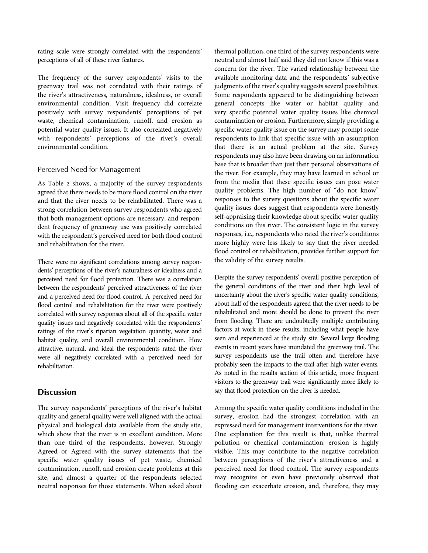rating scale were strongly correlated with the respondents' perceptions of all of these river features.

The frequency of the survey respondents' visits to the greenway trail was not correlated with their ratings of the river's attractiveness, naturalness, idealness, or overall environmental condition. Visit frequency did correlate positively with survey respondents' perceptions of pet waste, chemical contamination, runoff, and erosion as potential water quality issues. It also correlated negatively with respondents' perceptions of the river's overall environmental condition.

#### Perceived Need for Management

As [Table](#page-5-0) 2 shows, a majority of the survey respondents agreed that there needs to be more flood control on the river and that the river needs to be rehabilitated. There was a strong correlation between survey respondents who agreed that both management options are necessary, and respondent frequency of greenway use was positively correlated with the respondent's perceived need for both flood control and rehabilitation for the river.

There were no significant correlations among survey respondents' perceptions of the river's naturalness or idealness and a perceived need for flood protection. There was a correlation between the respondents' perceived attractiveness of the river and a perceived need for flood control. A perceived need for flood control and rehabilitation for the river were positively correlated with survey responses about all of the specific water quality issues and negatively correlated with the respondents' ratings of the river's riparian vegetation quantity, water and habitat quality, and overall environmental condition. How attractive, natural, and ideal the respondents rated the river were all negatively correlated with a perceived need for rehabilitation.

### Discussion

The survey respondents' perceptions of the river's habitat quality and general quality were well aligned with the actual physical and biological data available from the study site, which show that the river is in excellent condition. More than one third of the respondents, however, Strongly Agreed or Agreed with the survey statements that the specific water quality issues of pet waste, chemical contamination, runoff, and erosion create problems at this site, and almost a quarter of the respondents selected neutral responses for those statements. When asked about thermal pollution, one third of the survey respondents were neutral and almost half said they did not know if this was a concern for the river. The varied relationship between the available monitoring data and the respondents' subjective judgments of the river's quality suggests several possibilities. Some respondents appeared to be distinguishing between general concepts like water or habitat quality and very specific potential water quality issues like chemical contamination or erosion. Furthermore, simply providing a specific water quality issue on the survey may prompt some respondents to link that specific issue with an assumption that there is an actual problem at the site. Survey respondents may also have been drawing on an information base that is broader than just their personal observations of the river. For example, they may have learned in school or from the media that these specific issues can pose water quality problems. The high number of "do not know" responses to the survey questions about the specific water quality issues does suggest that respondents were honestly self-appraising their knowledge about specific water quality conditions on this river. The consistent logic in the survey responses, i.e., respondents who rated the river's conditions more highly were less likely to say that the river needed flood control or rehabilitation, provides further support for the validity of the survey results.

Despite the survey respondents' overall positive perception of the general conditions of the river and their high level of uncertainty about the river's specific water quality conditions, about half of the respondents agreed that the river needs to be rehabilitated and more should be done to prevent the river from flooding. There are undoubtedly multiple contributing factors at work in these results, including what people have seen and experienced at the study site. Several large flooding events in recent years have inundated the greenway trail. The survey respondents use the trail often and therefore have probably seen the impacts to the trail after high water events. As noted in the results section of this article, more frequent visitors to the greenway trail were significantly more likely to say that flood protection on the river is needed.

Among the specific water quality conditions included in the survey, erosion had the strongest correlation with an expressed need for management interventions for the river. One explanation for this result is that, unlike thermal pollution or chemical contamination, erosion is highly visible. This may contribute to the negative correlation between perceptions of the river's attractiveness and a perceived need for flood control. The survey respondents may recognize or even have previously observed that flooding can exacerbate erosion, and, therefore, they may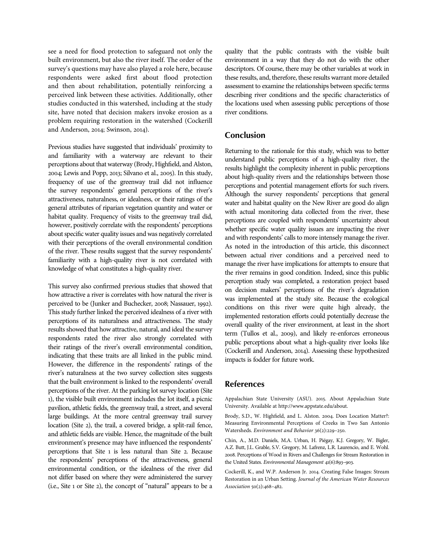<span id="page-8-0"></span>see a need for flood protection to safeguard not only the built environment, but also the river itself. The order of the survey's questions may have also played a role here, because respondents were asked first about flood protection and then about rehabilitation, potentially reinforcing a perceived link between these activities. Additionally, other studies conducted in this watershed, including at the study site, have noted that decision makers invoke erosion as a problem requiring restoration in the watershed (Cockerill and Anderson, 2014; Swinson, [2014](#page-9-0)).

Previous studies have suggested that individuals' proximity to and familiarity with a waterway are relevant to their perceptions about that waterway (Brody, Highfield, and Alston, 2004; Lewis and Popp, [2013](#page-9-0); Silvano et al., [2005](#page-9-0)). In this study, frequency of use of the greenway trail did not influence the survey respondents' general perceptions of the river's attractiveness, naturalness, or idealness, or their ratings of the general attributes of riparian vegetation quantity and water or habitat quality. Frequency of visits to the greenway trail did, however, positively correlate with the respondents' perceptions about specific water quality issues and was negatively correlated with their perceptions of the overall environmental condition of the river. These results suggest that the survey respondents' familiarity with a high-quality river is not correlated with knowledge of what constitutes a high-quality river.

This survey also confirmed previous studies that showed that how attractive a river is correlates with how natural the river is perceived to be (Junker and Buchecker, [2008](#page-9-0); Nassauer, [1992](#page-9-0)). This study further linked the perceived idealness of a river with perceptions of its naturalness and attractiveness. The study results showed that how attractive, natural, and ideal the survey respondents rated the river also strongly correlated with their ratings of the river's overall environmental condition, indicating that these traits are all linked in the public mind. However, the difference in the respondents' ratings of the river's naturalness at the two survey collection sites suggests that the built environment is linked to the respondents' overall perceptions of the river. At the parking lot survey location (Site 1), the visible built environment includes the lot itself, a picnic pavilion, athletic fields, the greenway trail, a street, and several large buildings. At the more central greenway trail survey location (Site 2), the trail, a covered bridge, a split-rail fence, and athletic fields are visible. Hence, the magnitude of the built environment's presence may have influenced the respondents' perceptions that Site 1 is less natural than Site 2. Because the respondents' perceptions of the attractiveness, general environmental condition, or the idealness of the river did not differ based on where they were administered the survey (i.e., Site 1 or Site 2), the concept of "natural" appears to be a

quality that the public contrasts with the visible built environment in a way that they do not do with the other descriptors. Of course, there may be other variables at work in these results, and, therefore, these results warrant more detailed assessment to examine the relationships between specific terms describing river conditions and the specific characteristics of the locations used when assessing public perceptions of those river conditions.

#### Conclusion

Returning to the rationale for this study, which was to better understand public perceptions of a high-quality river, the results highlight the complexity inherent in public perceptions about high-quality rivers and the relationships between those perceptions and potential management efforts for such rivers. Although the survey respondents' perceptions that general water and habitat quality on the New River are good do align with actual monitoring data collected from the river, these perceptions are coupled with respondents' uncertainty about whether specific water quality issues are impacting the river and with respondents' calls to more intensely manage the river. As noted in the introduction of this article, this disconnect between actual river conditions and a perceived need to manage the river have implications for attempts to ensure that the river remains in good condition. Indeed, since this public perception study was completed, a restoration project based on decision makers' perceptions of the river's degradation was implemented at the study site. Because the ecological conditions on this river were quite high already, the implemented restoration efforts could potentially decrease the overall quality of the river environment, at least in the short term (Tullos et al., [2009](#page-9-0)), and likely re-enforces erroneous public perceptions about what a high-quality river looks like (Cockerill and Anderson, 2014). Assessing these hypothesized impacts is fodder for future work.

#### References

Appalachian State University (ASU). 2015. About Appalachian State University. Available at<http://www.appstate.edu/about>.

Brody, S.D., W. Highfield, and L. Alston. 2004. Does Location Matter?: Measuring Environmental Perceptions of Creeks in Two San Antonio Watersheds. Environment and Behavior 36(2):229–250.

Chin, A., M.D. Daniels, M.A. Urban, H. Piégay, K.J. Gregory, W. Bigler, A.Z. Butt, J.L. Grable, S.V. Gregory, M. Lafrenz, L.R. Laurencio, and E. Wohl. 2008. Perceptions of Wood in Rivers and Challenges for Stream Restoration in the United States. Environmental Management 41(6):893–903.

Cockerill, K., and W.P. Anderson Jr. 2014. Creating False Images: Stream Restoration in an Urban Setting. Journal of the American Water Resources Association 50(2):468–482.